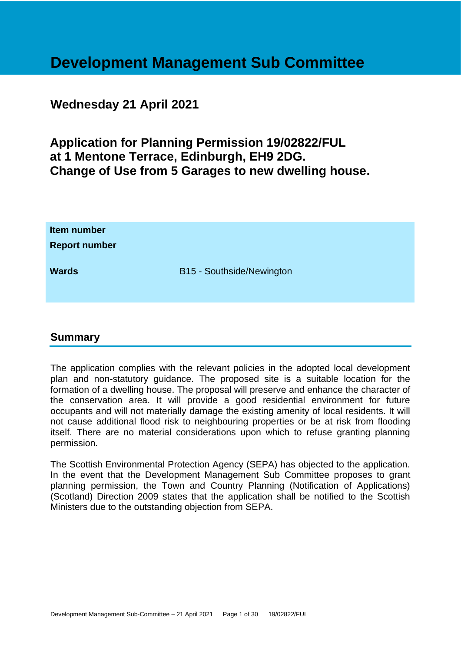# **Development Management Sub Committee**

# **Wednesday 21 April 2021**

**Application for Planning Permission 19/02822/FUL at 1 Mentone Terrace, Edinburgh, EH9 2DG. Change of Use from 5 Garages to new dwelling house.**

| Item number<br><b>Report number</b> |                           |
|-------------------------------------|---------------------------|
| <b>Wards</b>                        | B15 - Southside/Newington |

# **Summary**

The application complies with the relevant policies in the adopted local development plan and non-statutory guidance. The proposed site is a suitable location for the formation of a dwelling house. The proposal will preserve and enhance the character of the conservation area. It will provide a good residential environment for future occupants and will not materially damage the existing amenity of local residents. It will not cause additional flood risk to neighbouring properties or be at risk from flooding itself. There are no material considerations upon which to refuse granting planning permission.

The Scottish Environmental Protection Agency (SEPA) has objected to the application. In the event that the Development Management Sub Committee proposes to grant planning permission, the Town and Country Planning (Notification of Applications) (Scotland) Direction 2009 states that the application shall be notified to the Scottish Ministers due to the outstanding objection from SEPA.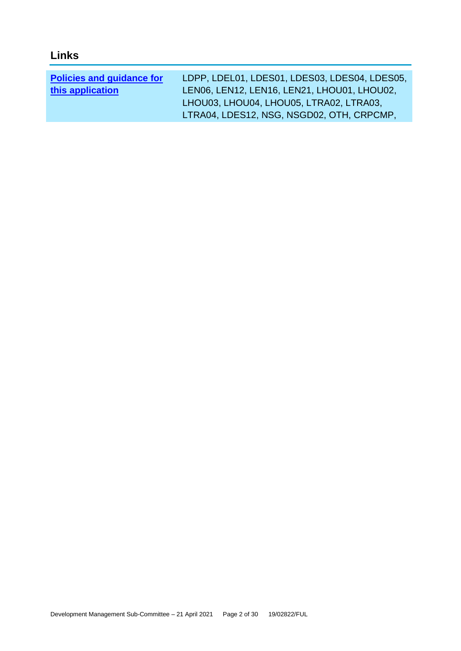| <b>Policies and guidance for</b> | LDPP, LDEL01, LDES01, LDES03, LDES04, LDES05, |
|----------------------------------|-----------------------------------------------|
| this application                 | LEN06, LEN12, LEN16, LEN21, LHOU01, LHOU02,   |
|                                  | LHOU03, LHOU04, LHOU05, LTRA02, LTRA03,       |
|                                  | LTRA04, LDES12, NSG, NSGD02, OTH, CRPCMP,     |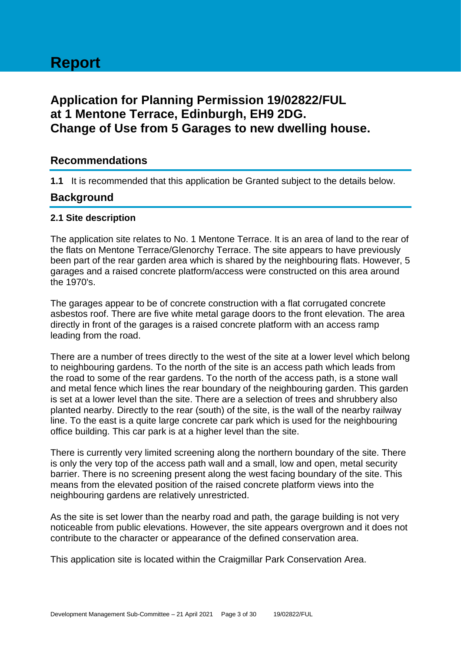# **Report**

# **Application for Planning Permission 19/02822/FUL at 1 Mentone Terrace, Edinburgh, EH9 2DG. Change of Use from 5 Garages to new dwelling house.**

# **Recommendations**

**1.1** It is recommended that this application be Granted subject to the details below.

# **Background**

# **2.1 Site description**

The application site relates to No. 1 Mentone Terrace. It is an area of land to the rear of the flats on Mentone Terrace/Glenorchy Terrace. The site appears to have previously been part of the rear garden area which is shared by the neighbouring flats. However, 5 garages and a raised concrete platform/access were constructed on this area around the 1970's.

The garages appear to be of concrete construction with a flat corrugated concrete asbestos roof. There are five white metal garage doors to the front elevation. The area directly in front of the garages is a raised concrete platform with an access ramp leading from the road.

There are a number of trees directly to the west of the site at a lower level which belong to neighbouring gardens. To the north of the site is an access path which leads from the road to some of the rear gardens. To the north of the access path, is a stone wall and metal fence which lines the rear boundary of the neighbouring garden. This garden is set at a lower level than the site. There are a selection of trees and shrubbery also planted nearby. Directly to the rear (south) of the site, is the wall of the nearby railway line. To the east is a quite large concrete car park which is used for the neighbouring office building. This car park is at a higher level than the site.

There is currently very limited screening along the northern boundary of the site. There is only the very top of the access path wall and a small, low and open, metal security barrier. There is no screening present along the west facing boundary of the site. This means from the elevated position of the raised concrete platform views into the neighbouring gardens are relatively unrestricted.

As the site is set lower than the nearby road and path, the garage building is not very noticeable from public elevations. However, the site appears overgrown and it does not contribute to the character or appearance of the defined conservation area.

This application site is located within the Craigmillar Park Conservation Area.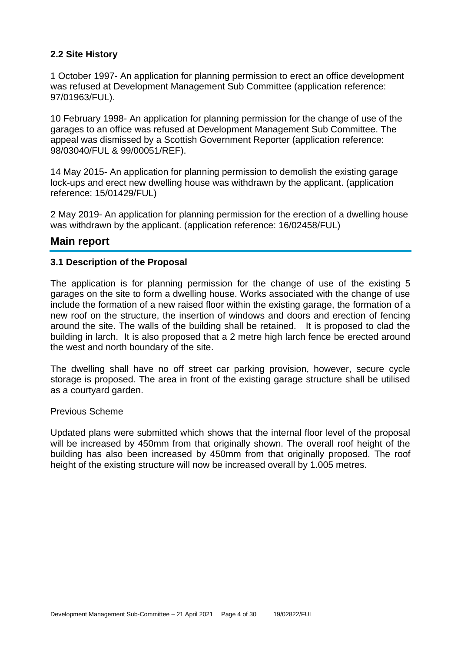# **2.2 Site History**

1 October 1997- An application for planning permission to erect an office development was refused at Development Management Sub Committee (application reference: 97/01963/FUL).

10 February 1998- An application for planning permission for the change of use of the garages to an office was refused at Development Management Sub Committee. The appeal was dismissed by a Scottish Government Reporter (application reference: 98/03040/FUL & 99/00051/REF).

14 May 2015- An application for planning permission to demolish the existing garage lock-ups and erect new dwelling house was withdrawn by the applicant. (application reference: 15/01429/FUL)

2 May 2019- An application for planning permission for the erection of a dwelling house was withdrawn by the applicant. (application reference: 16/02458/FUL)

# **Main report**

# **3.1 Description of the Proposal**

The application is for planning permission for the change of use of the existing 5 garages on the site to form a dwelling house. Works associated with the change of use include the formation of a new raised floor within the existing garage, the formation of a new roof on the structure, the insertion of windows and doors and erection of fencing around the site. The walls of the building shall be retained. It is proposed to clad the building in larch. It is also proposed that a 2 metre high larch fence be erected around the west and north boundary of the site.

The dwelling shall have no off street car parking provision, however, secure cycle storage is proposed. The area in front of the existing garage structure shall be utilised as a courtyard garden.

#### Previous Scheme

Updated plans were submitted which shows that the internal floor level of the proposal will be increased by 450mm from that originally shown. The overall roof height of the building has also been increased by 450mm from that originally proposed. The roof height of the existing structure will now be increased overall by 1.005 metres.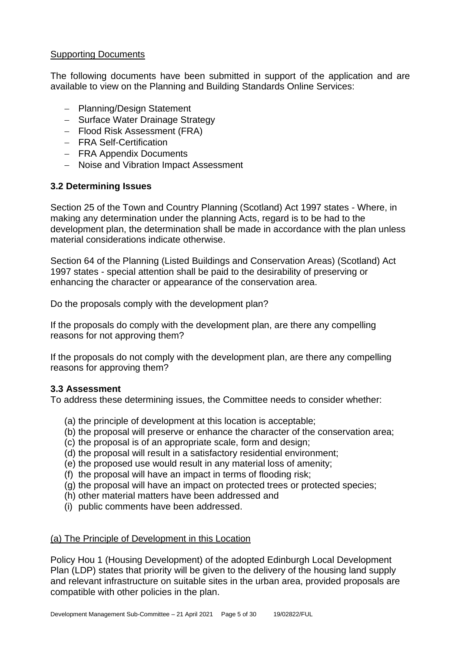# **Supporting Documents**

The following documents have been submitted in support of the application and are available to view on the Planning and Building Standards Online Services:

- − Planning/Design Statement
- − Surface Water Drainage Strategy
- − Flood Risk Assessment (FRA)
- − FRA Self-Certification
- − FRA Appendix Documents
- − Noise and Vibration Impact Assessment

# **3.2 Determining Issues**

Section 25 of the Town and Country Planning (Scotland) Act 1997 states - Where, in making any determination under the planning Acts, regard is to be had to the development plan, the determination shall be made in accordance with the plan unless material considerations indicate otherwise.

Section 64 of the Planning (Listed Buildings and Conservation Areas) (Scotland) Act 1997 states - special attention shall be paid to the desirability of preserving or enhancing the character or appearance of the conservation area.

Do the proposals comply with the development plan?

If the proposals do comply with the development plan, are there any compelling reasons for not approving them?

If the proposals do not comply with the development plan, are there any compelling reasons for approving them?

# **3.3 Assessment**

To address these determining issues, the Committee needs to consider whether:

- (a) the principle of development at this location is acceptable;
- (b) the proposal will preserve or enhance the character of the conservation area;
- (c) the proposal is of an appropriate scale, form and design;
- (d) the proposal will result in a satisfactory residential environment;
- (e) the proposed use would result in any material loss of amenity;
- (f) the proposal will have an impact in terms of flooding risk;
- (g) the proposal will have an impact on protected trees or protected species;
- (h) other material matters have been addressed and
- (i) public comments have been addressed.

# (a) The Principle of Development in this Location

Policy Hou 1 (Housing Development) of the adopted Edinburgh Local Development Plan (LDP) states that priority will be given to the delivery of the housing land supply and relevant infrastructure on suitable sites in the urban area, provided proposals are compatible with other policies in the plan.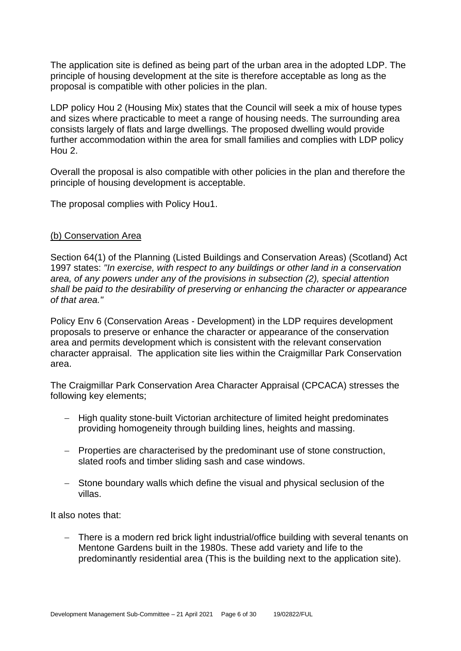The application site is defined as being part of the urban area in the adopted LDP. The principle of housing development at the site is therefore acceptable as long as the proposal is compatible with other policies in the plan.

LDP policy Hou 2 (Housing Mix) states that the Council will seek a mix of house types and sizes where practicable to meet a range of housing needs. The surrounding area consists largely of flats and large dwellings. The proposed dwelling would provide further accommodation within the area for small families and complies with LDP policy Hou 2.

Overall the proposal is also compatible with other policies in the plan and therefore the principle of housing development is acceptable.

The proposal complies with Policy Hou1.

# (b) Conservation Area

Section 64(1) of the Planning (Listed Buildings and Conservation Areas) (Scotland) Act 1997 states: *"In exercise, with respect to any buildings or other land in a conservation area, of any powers under any of the provisions in subsection (2), special attention shall be paid to the desirability of preserving or enhancing the character or appearance of that area."*

Policy Env 6 (Conservation Areas - Development) in the LDP requires development proposals to preserve or enhance the character or appearance of the conservation area and permits development which is consistent with the relevant conservation character appraisal. The application site lies within the Craigmillar Park Conservation area.

The Craigmillar Park Conservation Area Character Appraisal (CPCACA) stresses the following key elements;

- − High quality stone-built Victorian architecture of limited height predominates providing homogeneity through building lines, heights and massing.
- − Properties are characterised by the predominant use of stone construction, slated roofs and timber sliding sash and case windows.
- − Stone boundary walls which define the visual and physical seclusion of the villas.

It also notes that:

There is a modern red brick light industrial/office building with several tenants on Mentone Gardens built in the 1980s. These add variety and life to the predominantly residential area (This is the building next to the application site).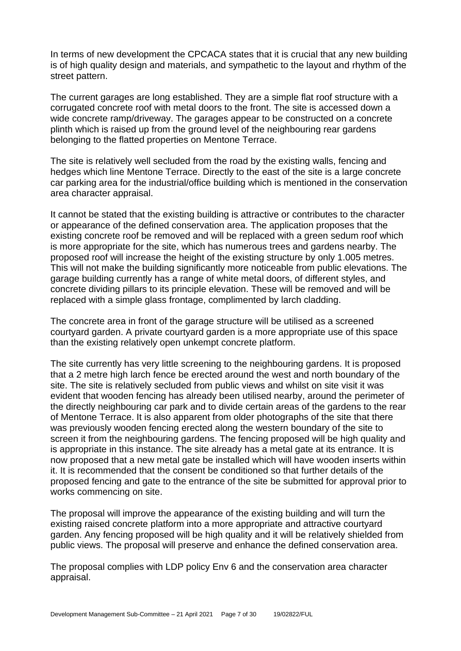In terms of new development the CPCACA states that it is crucial that any new building is of high quality design and materials, and sympathetic to the layout and rhythm of the street pattern.

The current garages are long established. They are a simple flat roof structure with a corrugated concrete roof with metal doors to the front. The site is accessed down a wide concrete ramp/driveway. The garages appear to be constructed on a concrete plinth which is raised up from the ground level of the neighbouring rear gardens belonging to the flatted properties on Mentone Terrace.

The site is relatively well secluded from the road by the existing walls, fencing and hedges which line Mentone Terrace. Directly to the east of the site is a large concrete car parking area for the industrial/office building which is mentioned in the conservation area character appraisal.

It cannot be stated that the existing building is attractive or contributes to the character or appearance of the defined conservation area. The application proposes that the existing concrete roof be removed and will be replaced with a green sedum roof which is more appropriate for the site, which has numerous trees and gardens nearby. The proposed roof will increase the height of the existing structure by only 1.005 metres. This will not make the building significantly more noticeable from public elevations. The garage building currently has a range of white metal doors, of different styles, and concrete dividing pillars to its principle elevation. These will be removed and will be replaced with a simple glass frontage, complimented by larch cladding.

The concrete area in front of the garage structure will be utilised as a screened courtyard garden. A private courtyard garden is a more appropriate use of this space than the existing relatively open unkempt concrete platform.

The site currently has very little screening to the neighbouring gardens. It is proposed that a 2 metre high larch fence be erected around the west and north boundary of the site. The site is relatively secluded from public views and whilst on site visit it was evident that wooden fencing has already been utilised nearby, around the perimeter of the directly neighbouring car park and to divide certain areas of the gardens to the rear of Mentone Terrace. It is also apparent from older photographs of the site that there was previously wooden fencing erected along the western boundary of the site to screen it from the neighbouring gardens. The fencing proposed will be high quality and is appropriate in this instance. The site already has a metal gate at its entrance. It is now proposed that a new metal gate be installed which will have wooden inserts within it. It is recommended that the consent be conditioned so that further details of the proposed fencing and gate to the entrance of the site be submitted for approval prior to works commencing on site.

The proposal will improve the appearance of the existing building and will turn the existing raised concrete platform into a more appropriate and attractive courtyard garden. Any fencing proposed will be high quality and it will be relatively shielded from public views. The proposal will preserve and enhance the defined conservation area.

The proposal complies with LDP policy Env 6 and the conservation area character appraisal.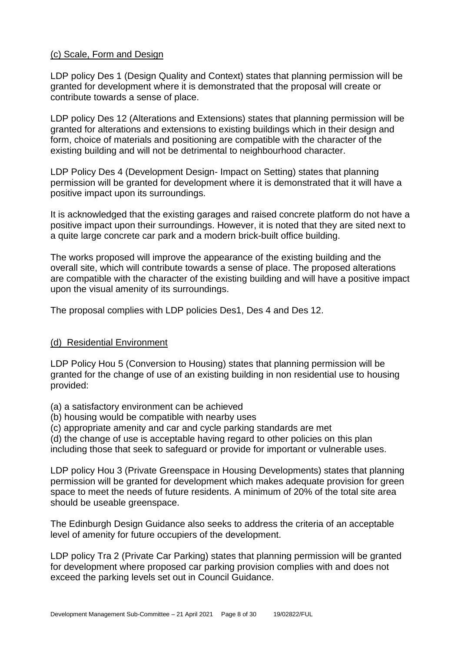# (c) Scale, Form and Design

LDP policy Des 1 (Design Quality and Context) states that planning permission will be granted for development where it is demonstrated that the proposal will create or contribute towards a sense of place.

LDP policy Des 12 (Alterations and Extensions) states that planning permission will be granted for alterations and extensions to existing buildings which in their design and form, choice of materials and positioning are compatible with the character of the existing building and will not be detrimental to neighbourhood character.

LDP Policy Des 4 (Development Design- Impact on Setting) states that planning permission will be granted for development where it is demonstrated that it will have a positive impact upon its surroundings.

It is acknowledged that the existing garages and raised concrete platform do not have a positive impact upon their surroundings. However, it is noted that they are sited next to a quite large concrete car park and a modern brick-built office building.

The works proposed will improve the appearance of the existing building and the overall site, which will contribute towards a sense of place. The proposed alterations are compatible with the character of the existing building and will have a positive impact upon the visual amenity of its surroundings.

The proposal complies with LDP policies Des1, Des 4 and Des 12.

# (d) Residential Environment

LDP Policy Hou 5 (Conversion to Housing) states that planning permission will be granted for the change of use of an existing building in non residential use to housing provided:

- (a) a satisfactory environment can be achieved
- (b) housing would be compatible with nearby uses
- (c) appropriate amenity and car and cycle parking standards are met

(d) the change of use is acceptable having regard to other policies on this plan

including those that seek to safeguard or provide for important or vulnerable uses.

LDP policy Hou 3 (Private Greenspace in Housing Developments) states that planning permission will be granted for development which makes adequate provision for green space to meet the needs of future residents. A minimum of 20% of the total site area should be useable greenspace.

The Edinburgh Design Guidance also seeks to address the criteria of an acceptable level of amenity for future occupiers of the development.

LDP policy Tra 2 (Private Car Parking) states that planning permission will be granted for development where proposed car parking provision complies with and does not exceed the parking levels set out in Council Guidance.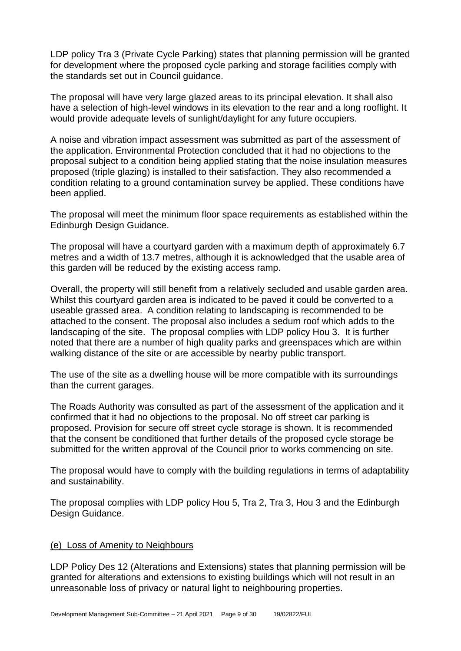LDP policy Tra 3 (Private Cycle Parking) states that planning permission will be granted for development where the proposed cycle parking and storage facilities comply with the standards set out in Council guidance.

The proposal will have very large glazed areas to its principal elevation. It shall also have a selection of high-level windows in its elevation to the rear and a long rooflight. It would provide adequate levels of sunlight/daylight for any future occupiers.

A noise and vibration impact assessment was submitted as part of the assessment of the application. Environmental Protection concluded that it had no objections to the proposal subject to a condition being applied stating that the noise insulation measures proposed (triple glazing) is installed to their satisfaction. They also recommended a condition relating to a ground contamination survey be applied. These conditions have been applied.

The proposal will meet the minimum floor space requirements as established within the Edinburgh Design Guidance.

The proposal will have a courtyard garden with a maximum depth of approximately 6.7 metres and a width of 13.7 metres, although it is acknowledged that the usable area of this garden will be reduced by the existing access ramp.

Overall, the property will still benefit from a relatively secluded and usable garden area. Whilst this courtyard garden area is indicated to be paved it could be converted to a useable grassed area. A condition relating to landscaping is recommended to be attached to the consent. The proposal also includes a sedum roof which adds to the landscaping of the site. The proposal complies with LDP policy Hou 3. It is further noted that there are a number of high quality parks and greenspaces which are within walking distance of the site or are accessible by nearby public transport.

The use of the site as a dwelling house will be more compatible with its surroundings than the current garages.

The Roads Authority was consulted as part of the assessment of the application and it confirmed that it had no objections to the proposal. No off street car parking is proposed. Provision for secure off street cycle storage is shown. It is recommended that the consent be conditioned that further details of the proposed cycle storage be submitted for the written approval of the Council prior to works commencing on site.

The proposal would have to comply with the building regulations in terms of adaptability and sustainability.

The proposal complies with LDP policy Hou 5, Tra 2, Tra 3, Hou 3 and the Edinburgh Design Guidance.

#### (e) Loss of Amenity to Neighbours

LDP Policy Des 12 (Alterations and Extensions) states that planning permission will be granted for alterations and extensions to existing buildings which will not result in an unreasonable loss of privacy or natural light to neighbouring properties.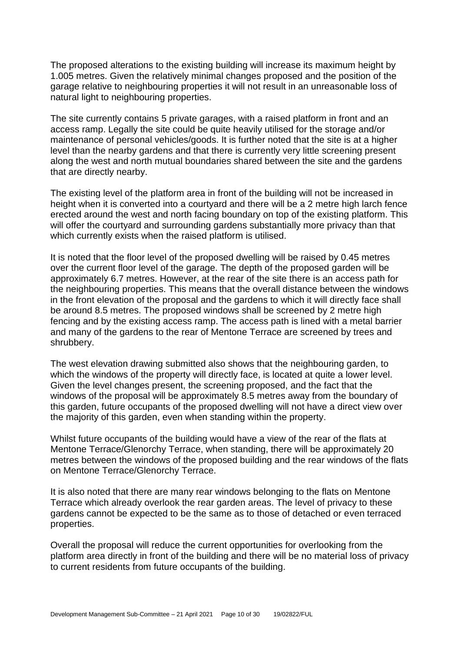The proposed alterations to the existing building will increase its maximum height by 1.005 metres. Given the relatively minimal changes proposed and the position of the garage relative to neighbouring properties it will not result in an unreasonable loss of natural light to neighbouring properties.

The site currently contains 5 private garages, with a raised platform in front and an access ramp. Legally the site could be quite heavily utilised for the storage and/or maintenance of personal vehicles/goods. It is further noted that the site is at a higher level than the nearby gardens and that there is currently very little screening present along the west and north mutual boundaries shared between the site and the gardens that are directly nearby.

The existing level of the platform area in front of the building will not be increased in height when it is converted into a courtyard and there will be a 2 metre high larch fence erected around the west and north facing boundary on top of the existing platform. This will offer the courtyard and surrounding gardens substantially more privacy than that which currently exists when the raised platform is utilised.

It is noted that the floor level of the proposed dwelling will be raised by 0.45 metres over the current floor level of the garage. The depth of the proposed garden will be approximately 6.7 metres. However, at the rear of the site there is an access path for the neighbouring properties. This means that the overall distance between the windows in the front elevation of the proposal and the gardens to which it will directly face shall be around 8.5 metres. The proposed windows shall be screened by 2 metre high fencing and by the existing access ramp. The access path is lined with a metal barrier and many of the gardens to the rear of Mentone Terrace are screened by trees and shrubbery.

The west elevation drawing submitted also shows that the neighbouring garden, to which the windows of the property will directly face, is located at quite a lower level. Given the level changes present, the screening proposed, and the fact that the windows of the proposal will be approximately 8.5 metres away from the boundary of this garden, future occupants of the proposed dwelling will not have a direct view over the majority of this garden, even when standing within the property.

Whilst future occupants of the building would have a view of the rear of the flats at Mentone Terrace/Glenorchy Terrace, when standing, there will be approximately 20 metres between the windows of the proposed building and the rear windows of the flats on Mentone Terrace/Glenorchy Terrace.

It is also noted that there are many rear windows belonging to the flats on Mentone Terrace which already overlook the rear garden areas. The level of privacy to these gardens cannot be expected to be the same as to those of detached or even terraced properties.

Overall the proposal will reduce the current opportunities for overlooking from the platform area directly in front of the building and there will be no material loss of privacy to current residents from future occupants of the building.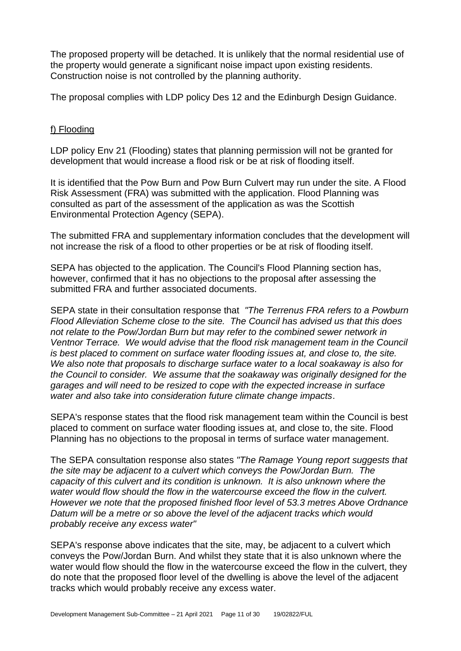The proposed property will be detached. It is unlikely that the normal residential use of the property would generate a significant noise impact upon existing residents. Construction noise is not controlled by the planning authority.

The proposal complies with LDP policy Des 12 and the Edinburgh Design Guidance.

# f) Flooding

LDP policy Env 21 (Flooding) states that planning permission will not be granted for development that would increase a flood risk or be at risk of flooding itself.

It is identified that the Pow Burn and Pow Burn Culvert may run under the site. A Flood Risk Assessment (FRA) was submitted with the application. Flood Planning was consulted as part of the assessment of the application as was the Scottish Environmental Protection Agency (SEPA).

The submitted FRA and supplementary information concludes that the development will not increase the risk of a flood to other properties or be at risk of flooding itself.

SEPA has objected to the application. The Council's Flood Planning section has, however, confirmed that it has no objections to the proposal after assessing the submitted FRA and further associated documents.

SEPA state in their consultation response that *"The Terrenus FRA refers to a Powburn Flood Alleviation Scheme close to the site. The Council has advised us that this does not relate to the Pow/Jordan Burn but may refer to the combined sewer network in Ventnor Terrace. We would advise that the flood risk management team in the Council is best placed to comment on surface water flooding issues at, and close to, the site. We also note that proposals to discharge surface water to a local soakaway is also for the Council to consider. We assume that the soakaway was originally designed for the garages and will need to be resized to cope with the expected increase in surface water and also take into consideration future climate change impacts*.

SEPA's response states that the flood risk management team within the Council is best placed to comment on surface water flooding issues at, and close to, the site. Flood Planning has no objections to the proposal in terms of surface water management.

The SEPA consultation response also states *"The Ramage Young report suggests that the site may be adjacent to a culvert which conveys the Pow/Jordan Burn. The capacity of this culvert and its condition is unknown. It is also unknown where the water would flow should the flow in the watercourse exceed the flow in the culvert. However we note that the proposed finished floor level of 53.3 metres Above Ordnance Datum will be a metre or so above the level of the adjacent tracks which would probably receive any excess water"*

SEPA's response above indicates that the site, may, be adjacent to a culvert which conveys the Pow/Jordan Burn. And whilst they state that it is also unknown where the water would flow should the flow in the watercourse exceed the flow in the culvert, they do note that the proposed floor level of the dwelling is above the level of the adjacent tracks which would probably receive any excess water.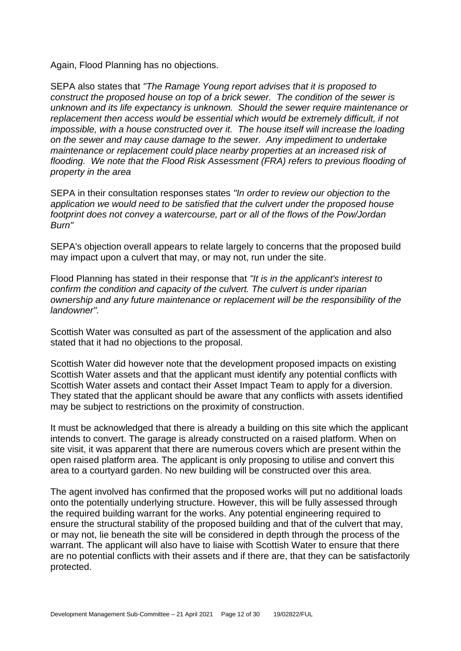Again, Flood Planning has no objections.

SEPA also states that *"The Ramage Young report advises that it is proposed to construct the proposed house on top of a brick sewer. The condition of the sewer is unknown and its life expectancy is unknown. Should the sewer require maintenance or replacement then access would be essential which would be extremely difficult, if not impossible, with a house constructed over it. The house itself will increase the loading on the sewer and may cause damage to the sewer. Any impediment to undertake maintenance or replacement could place nearby properties at an increased risk of*  flooding. We note that the Flood Risk Assessment (FRA) refers to previous flooding of *property in the area*

SEPA in their consultation responses states *"In order to review our objection to the application we would need to be satisfied that the culvert under the proposed house footprint does not convey a watercourse, part or all of the flows of the Pow/Jordan Burn"*

SEPA's objection overall appears to relate largely to concerns that the proposed build may impact upon a culvert that may, or may not, run under the site.

Flood Planning has stated in their response that *"It is in the applicant's interest to confirm the condition and capacity of the culvert. The culvert is under riparian ownership and any future maintenance or replacement will be the responsibility of the landowner".*

Scottish Water was consulted as part of the assessment of the application and also stated that it had no objections to the proposal.

Scottish Water did however note that the development proposed impacts on existing Scottish Water assets and that the applicant must identify any potential conflicts with Scottish Water assets and contact their Asset Impact Team to apply for a diversion. They stated that the applicant should be aware that any conflicts with assets identified may be subject to restrictions on the proximity of construction.

It must be acknowledged that there is already a building on this site which the applicant intends to convert. The garage is already constructed on a raised platform. When on site visit, it was apparent that there are numerous covers which are present within the open raised platform area. The applicant is only proposing to utilise and convert this area to a courtyard garden. No new building will be constructed over this area.

The agent involved has confirmed that the proposed works will put no additional loads onto the potentially underlying structure. However, this will be fully assessed through the required building warrant for the works. Any potential engineering required to ensure the structural stability of the proposed building and that of the culvert that may, or may not, lie beneath the site will be considered in depth through the process of the warrant. The applicant will also have to liaise with Scottish Water to ensure that there are no potential conflicts with their assets and if there are, that they can be satisfactorily protected.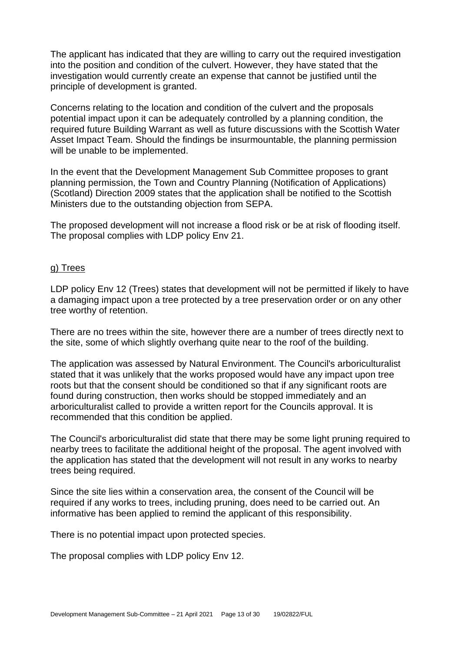The applicant has indicated that they are willing to carry out the required investigation into the position and condition of the culvert. However, they have stated that the investigation would currently create an expense that cannot be justified until the principle of development is granted.

Concerns relating to the location and condition of the culvert and the proposals potential impact upon it can be adequately controlled by a planning condition, the required future Building Warrant as well as future discussions with the Scottish Water Asset Impact Team. Should the findings be insurmountable, the planning permission will be unable to be implemented.

In the event that the Development Management Sub Committee proposes to grant planning permission, the Town and Country Planning (Notification of Applications) (Scotland) Direction 2009 states that the application shall be notified to the Scottish Ministers due to the outstanding objection from SEPA.

The proposed development will not increase a flood risk or be at risk of flooding itself. The proposal complies with LDP policy Env 21.

#### g) Trees

LDP policy Env 12 (Trees) states that development will not be permitted if likely to have a damaging impact upon a tree protected by a tree preservation order or on any other tree worthy of retention.

There are no trees within the site, however there are a number of trees directly next to the site, some of which slightly overhang quite near to the roof of the building.

The application was assessed by Natural Environment. The Council's arboriculturalist stated that it was unlikely that the works proposed would have any impact upon tree roots but that the consent should be conditioned so that if any significant roots are found during construction, then works should be stopped immediately and an arboriculturalist called to provide a written report for the Councils approval. It is recommended that this condition be applied.

The Council's arboriculturalist did state that there may be some light pruning required to nearby trees to facilitate the additional height of the proposal. The agent involved with the application has stated that the development will not result in any works to nearby trees being required.

Since the site lies within a conservation area, the consent of the Council will be required if any works to trees, including pruning, does need to be carried out. An informative has been applied to remind the applicant of this responsibility.

There is no potential impact upon protected species.

The proposal complies with LDP policy Env 12.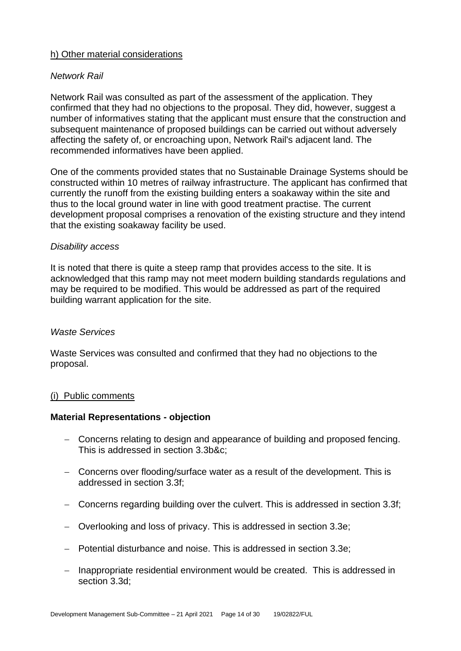# h) Other material considerations

# *Network Rail*

Network Rail was consulted as part of the assessment of the application. They confirmed that they had no objections to the proposal. They did, however, suggest a number of informatives stating that the applicant must ensure that the construction and subsequent maintenance of proposed buildings can be carried out without adversely affecting the safety of, or encroaching upon, Network Rail's adjacent land. The recommended informatives have been applied.

One of the comments provided states that no Sustainable Drainage Systems should be constructed within 10 metres of railway infrastructure. The applicant has confirmed that currently the runoff from the existing building enters a soakaway within the site and thus to the local ground water in line with good treatment practise. The current development proposal comprises a renovation of the existing structure and they intend that the existing soakaway facility be used.

#### *Disability access*

It is noted that there is quite a steep ramp that provides access to the site. It is acknowledged that this ramp may not meet modern building standards regulations and may be required to be modified. This would be addressed as part of the required building warrant application for the site.

#### *Waste Services*

Waste Services was consulted and confirmed that they had no objections to the proposal.

#### (i) Public comments

#### **Material Representations - objection**

- − Concerns relating to design and appearance of building and proposed fencing. This is addressed in section 3.3b&c;
- − Concerns over flooding/surface water as a result of the development. This is addressed in section 3.3f;
- − Concerns regarding building over the culvert. This is addressed in section 3.3f;
- − Overlooking and loss of privacy. This is addressed in section 3.3e;
- − Potential disturbance and noise. This is addressed in section 3.3e;
- − Inappropriate residential environment would be created. This is addressed in section 3.3d;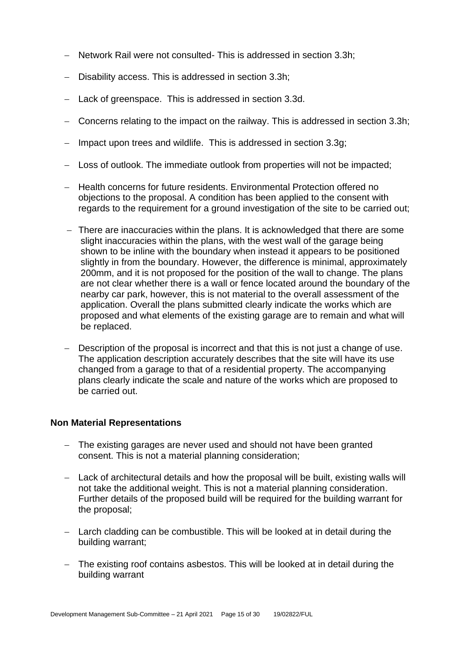- − Network Rail were not consulted- This is addressed in section 3.3h;
- − Disability access. This is addressed in section 3.3h;
- − Lack of greenspace. This is addressed in section 3.3d.
- − Concerns relating to the impact on the railway. This is addressed in section 3.3h;
- Impact upon trees and wildlife. This is addressed in section 3.3g;
- − Loss of outlook. The immediate outlook from properties will not be impacted;
- − Health concerns for future residents. Environmental Protection offered no objections to the proposal. A condition has been applied to the consent with regards to the requirement for a ground investigation of the site to be carried out:
- − There are inaccuracies within the plans. It is acknowledged that there are some slight inaccuracies within the plans, with the west wall of the garage being shown to be inline with the boundary when instead it appears to be positioned slightly in from the boundary. However, the difference is minimal, approximately 200mm, and it is not proposed for the position of the wall to change. The plans are not clear whether there is a wall or fence located around the boundary of the nearby car park, however, this is not material to the overall assessment of the application. Overall the plans submitted clearly indicate the works which are proposed and what elements of the existing garage are to remain and what will be replaced.
- − Description of the proposal is incorrect and that this is not just a change of use. The application description accurately describes that the site will have its use changed from a garage to that of a residential property. The accompanying plans clearly indicate the scale and nature of the works which are proposed to be carried out.

#### **Non Material Representations**

- − The existing garages are never used and should not have been granted consent. This is not a material planning consideration;
- − Lack of architectural details and how the proposal will be built, existing walls will not take the additional weight. This is not a material planning consideration. Further details of the proposed build will be required for the building warrant for the proposal;
- − Larch cladding can be combustible. This will be looked at in detail during the building warrant;
- − The existing roof contains asbestos. This will be looked at in detail during the building warrant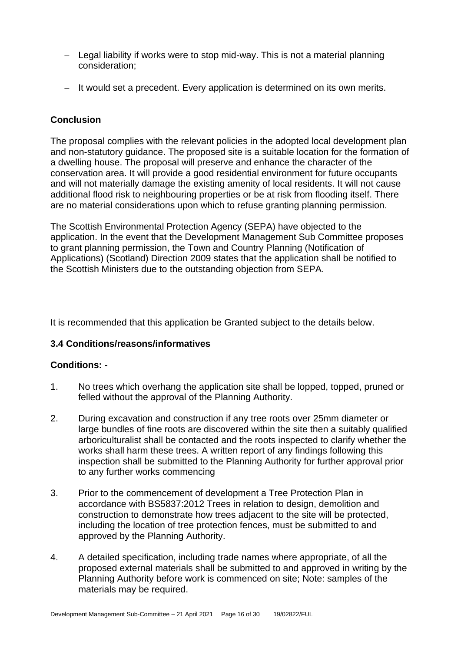- − Legal liability if works were to stop mid-way. This is not a material planning consideration;
- − It would set a precedent. Every application is determined on its own merits.

# **Conclusion**

The proposal complies with the relevant policies in the adopted local development plan and non-statutory guidance. The proposed site is a suitable location for the formation of a dwelling house. The proposal will preserve and enhance the character of the conservation area. It will provide a good residential environment for future occupants and will not materially damage the existing amenity of local residents. It will not cause additional flood risk to neighbouring properties or be at risk from flooding itself. There are no material considerations upon which to refuse granting planning permission.

The Scottish Environmental Protection Agency (SEPA) have objected to the application. In the event that the Development Management Sub Committee proposes to grant planning permission, the Town and Country Planning (Notification of Applications) (Scotland) Direction 2009 states that the application shall be notified to the Scottish Ministers due to the outstanding objection from SEPA.

It is recommended that this application be Granted subject to the details below.

# **3.4 Conditions/reasons/informatives**

# **Conditions: -**

- 1. No trees which overhang the application site shall be lopped, topped, pruned or felled without the approval of the Planning Authority.
- 2. During excavation and construction if any tree roots over 25mm diameter or large bundles of fine roots are discovered within the site then a suitably qualified arboriculturalist shall be contacted and the roots inspected to clarify whether the works shall harm these trees. A written report of any findings following this inspection shall be submitted to the Planning Authority for further approval prior to any further works commencing
- 3. Prior to the commencement of development a Tree Protection Plan in accordance with BS5837:2012 Trees in relation to design, demolition and construction to demonstrate how trees adjacent to the site will be protected, including the location of tree protection fences, must be submitted to and approved by the Planning Authority.
- 4. A detailed specification, including trade names where appropriate, of all the proposed external materials shall be submitted to and approved in writing by the Planning Authority before work is commenced on site; Note: samples of the materials may be required.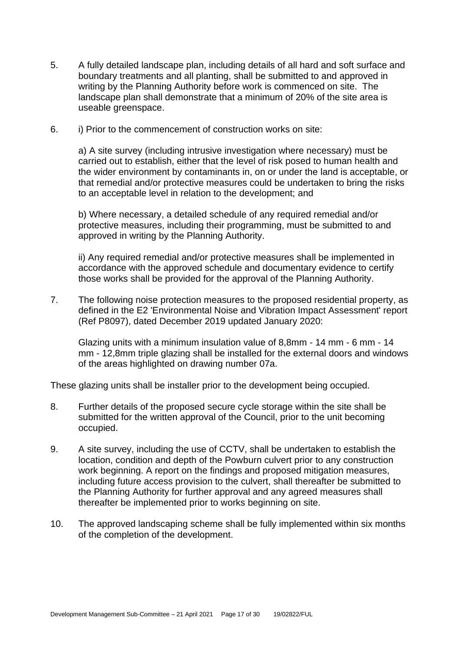- 5. A fully detailed landscape plan, including details of all hard and soft surface and boundary treatments and all planting, shall be submitted to and approved in writing by the Planning Authority before work is commenced on site. The landscape plan shall demonstrate that a minimum of 20% of the site area is useable greenspace.
- 6. i) Prior to the commencement of construction works on site:

a) A site survey (including intrusive investigation where necessary) must be carried out to establish, either that the level of risk posed to human health and the wider environment by contaminants in, on or under the land is acceptable, or that remedial and/or protective measures could be undertaken to bring the risks to an acceptable level in relation to the development; and

b) Where necessary, a detailed schedule of any required remedial and/or protective measures, including their programming, must be submitted to and approved in writing by the Planning Authority.

ii) Any required remedial and/or protective measures shall be implemented in accordance with the approved schedule and documentary evidence to certify those works shall be provided for the approval of the Planning Authority.

7. The following noise protection measures to the proposed residential property, as defined in the E2 'Environmental Noise and Vibration Impact Assessment' report (Ref P8097), dated December 2019 updated January 2020:

Glazing units with a minimum insulation value of 8,8mm - 14 mm - 6 mm - 14 mm - 12,8mm triple glazing shall be installed for the external doors and windows of the areas highlighted on drawing number 07a.

These glazing units shall be installer prior to the development being occupied.

- 8. Further details of the proposed secure cycle storage within the site shall be submitted for the written approval of the Council, prior to the unit becoming occupied.
- 9. A site survey, including the use of CCTV, shall be undertaken to establish the location, condition and depth of the Powburn culvert prior to any construction work beginning. A report on the findings and proposed mitigation measures, including future access provision to the culvert, shall thereafter be submitted to the Planning Authority for further approval and any agreed measures shall thereafter be implemented prior to works beginning on site.
- 10. The approved landscaping scheme shall be fully implemented within six months of the completion of the development.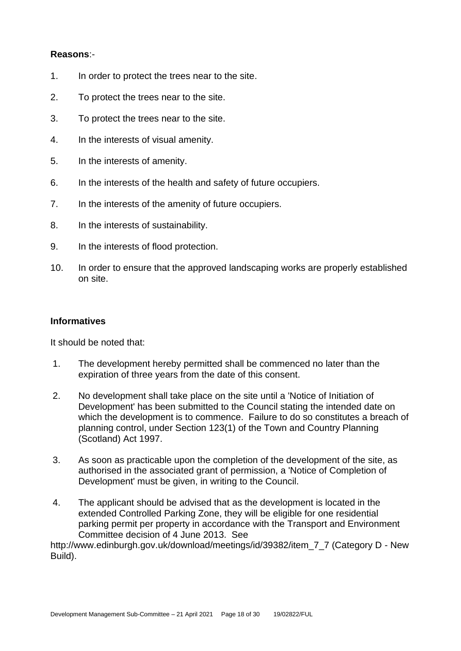# **Reasons**:-

- 1. In order to protect the trees near to the site.
- 2. To protect the trees near to the site.
- 3. To protect the trees near to the site.
- 4. In the interests of visual amenity.
- 5. In the interests of amenity.
- 6. In the interests of the health and safety of future occupiers.
- 7. In the interests of the amenity of future occupiers.
- 8. In the interests of sustainability.
- 9. In the interests of flood protection.
- 10. In order to ensure that the approved landscaping works are properly established on site.

# **Informatives**

It should be noted that:

- 1. The development hereby permitted shall be commenced no later than the expiration of three years from the date of this consent.
- 2. No development shall take place on the site until a 'Notice of Initiation of Development' has been submitted to the Council stating the intended date on which the development is to commence. Failure to do so constitutes a breach of planning control, under Section 123(1) of the Town and Country Planning (Scotland) Act 1997.
- 3. As soon as practicable upon the completion of the development of the site, as authorised in the associated grant of permission, a 'Notice of Completion of Development' must be given, in writing to the Council.
- 4. The applicant should be advised that as the development is located in the extended Controlled Parking Zone, they will be eligible for one residential parking permit per property in accordance with the Transport and Environment Committee decision of 4 June 2013. See

http://www.edinburgh.gov.uk/download/meetings/id/39382/item\_7\_7 (Category D - New Build).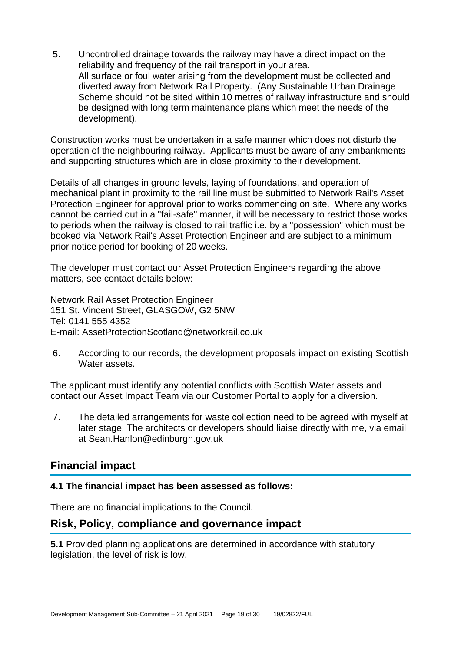5. Uncontrolled drainage towards the railway may have a direct impact on the reliability and frequency of the rail transport in your area. All surface or foul water arising from the development must be collected and diverted away from Network Rail Property. (Any Sustainable Urban Drainage Scheme should not be sited within 10 metres of railway infrastructure and should be designed with long term maintenance plans which meet the needs of the development).

Construction works must be undertaken in a safe manner which does not disturb the operation of the neighbouring railway. Applicants must be aware of any embankments and supporting structures which are in close proximity to their development.

Details of all changes in ground levels, laying of foundations, and operation of mechanical plant in proximity to the rail line must be submitted to Network Rail's Asset Protection Engineer for approval prior to works commencing on site. Where any works cannot be carried out in a "fail-safe" manner, it will be necessary to restrict those works to periods when the railway is closed to rail traffic i.e. by a "possession" which must be booked via Network Rail's Asset Protection Engineer and are subject to a minimum prior notice period for booking of 20 weeks.

The developer must contact our Asset Protection Engineers regarding the above matters, see contact details below:

Network Rail Asset Protection Engineer 151 St. Vincent Street, GLASGOW, G2 5NW Tel: 0141 555 4352 E-mail: AssetProtectionScotland@networkrail.co.uk

6. According to our records, the development proposals impact on existing Scottish Water assets.

The applicant must identify any potential conflicts with Scottish Water assets and contact our Asset Impact Team via our Customer Portal to apply for a diversion.

7. The detailed arrangements for waste collection need to be agreed with myself at later stage. The architects or developers should liaise directly with me, via email at Sean.Hanlon@edinburgh.gov.uk

# **Financial impact**

# **4.1 The financial impact has been assessed as follows:**

There are no financial implications to the Council.

# **Risk, Policy, compliance and governance impact**

**5.1** Provided planning applications are determined in accordance with statutory legislation, the level of risk is low.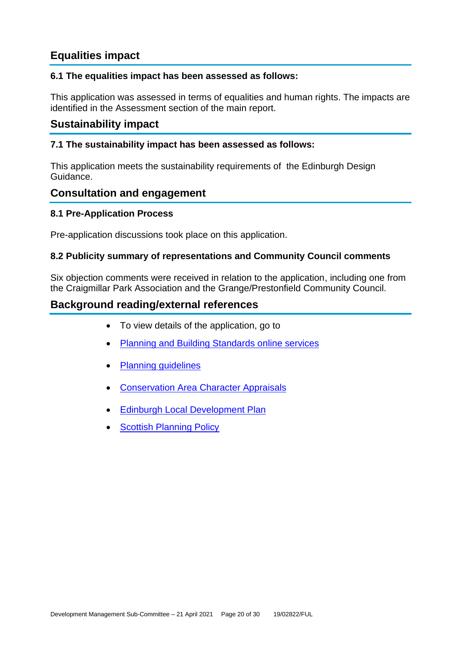# **Equalities impact**

# **6.1 The equalities impact has been assessed as follows:**

This application was assessed in terms of equalities and human rights. The impacts are identified in the Assessment section of the main report.

# **Sustainability impact**

# **7.1 The sustainability impact has been assessed as follows:**

This application meets the sustainability requirements of the Edinburgh Design Guidance.

# **Consultation and engagement**

# **8.1 Pre-Application Process**

Pre-application discussions took place on this application.

# **8.2 Publicity summary of representations and Community Council comments**

Six objection comments were received in relation to the application, including one from the Craigmillar Park Association and the Grange/Prestonfield Community Council.

# **Background reading/external references**

- To view details of the application, go to
- [Planning and Building Standards online services](https://citydev-portal.edinburgh.gov.uk/idoxpa-web/search.do?action=simple&searchType=Application)
- [Planning guidelines](http://www.edinburgh.gov.uk/planningguidelines)
- [Conservation Area Character Appraisals](http://www.edinburgh.gov.uk/characterappraisals)
- [Edinburgh Local Development Plan](http://www.edinburgh.gov.uk/localdevelopmentplan)
- **[Scottish Planning Policy](http://www.scotland.gov.uk/Topics/Built-Environment/planning/Policy)**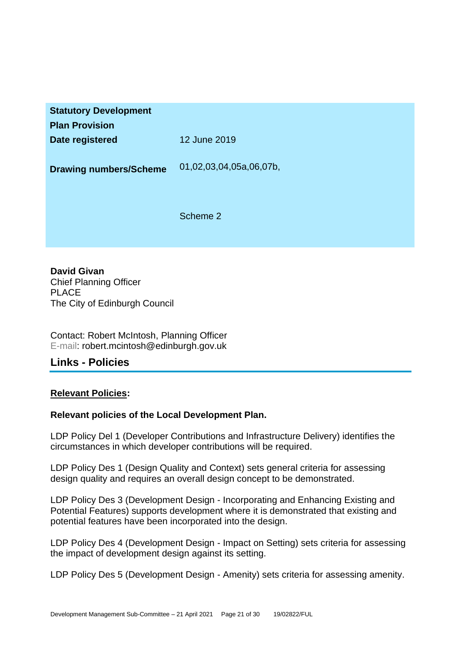| <b>Statutory Development</b><br><b>Plan Provision</b> |                         |
|-------------------------------------------------------|-------------------------|
| Date registered                                       | 12 June 2019            |
| <b>Drawing numbers/Scheme</b>                         | 01,02,03,04,05a,06,07b, |
|                                                       | Scheme 2                |

**David Givan** Chief Planning Officer PLACE The City of Edinburgh Council

Contact: Robert McIntosh, Planning Officer E-mail: robert.mcintosh@edinburgh.gov.uk

# **Links - Policies**

# **Relevant Policies:**

# **Relevant policies of the Local Development Plan.**

LDP Policy Del 1 (Developer Contributions and Infrastructure Delivery) identifies the circumstances in which developer contributions will be required.

LDP Policy Des 1 (Design Quality and Context) sets general criteria for assessing design quality and requires an overall design concept to be demonstrated.

LDP Policy Des 3 (Development Design - Incorporating and Enhancing Existing and Potential Features) supports development where it is demonstrated that existing and potential features have been incorporated into the design.

LDP Policy Des 4 (Development Design - Impact on Setting) sets criteria for assessing the impact of development design against its setting.

LDP Policy Des 5 (Development Design - Amenity) sets criteria for assessing amenity.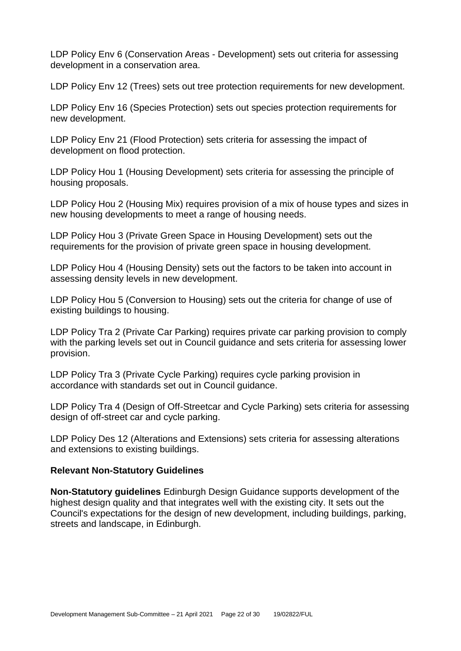LDP Policy Env 6 (Conservation Areas - Development) sets out criteria for assessing development in a conservation area.

LDP Policy Env 12 (Trees) sets out tree protection requirements for new development.

LDP Policy Env 16 (Species Protection) sets out species protection requirements for new development.

LDP Policy Env 21 (Flood Protection) sets criteria for assessing the impact of development on flood protection.

LDP Policy Hou 1 (Housing Development) sets criteria for assessing the principle of housing proposals.

LDP Policy Hou 2 (Housing Mix) requires provision of a mix of house types and sizes in new housing developments to meet a range of housing needs.

LDP Policy Hou 3 (Private Green Space in Housing Development) sets out the requirements for the provision of private green space in housing development.

LDP Policy Hou 4 (Housing Density) sets out the factors to be taken into account in assessing density levels in new development.

LDP Policy Hou 5 (Conversion to Housing) sets out the criteria for change of use of existing buildings to housing.

LDP Policy Tra 2 (Private Car Parking) requires private car parking provision to comply with the parking levels set out in Council guidance and sets criteria for assessing lower provision.

LDP Policy Tra 3 (Private Cycle Parking) requires cycle parking provision in accordance with standards set out in Council guidance.

LDP Policy Tra 4 (Design of Off-Streetcar and Cycle Parking) sets criteria for assessing design of off-street car and cycle parking.

LDP Policy Des 12 (Alterations and Extensions) sets criteria for assessing alterations and extensions to existing buildings.

#### **Relevant Non-Statutory Guidelines**

**Non-Statutory guidelines** Edinburgh Design Guidance supports development of the highest design quality and that integrates well with the existing city. It sets out the Council's expectations for the design of new development, including buildings, parking, streets and landscape, in Edinburgh.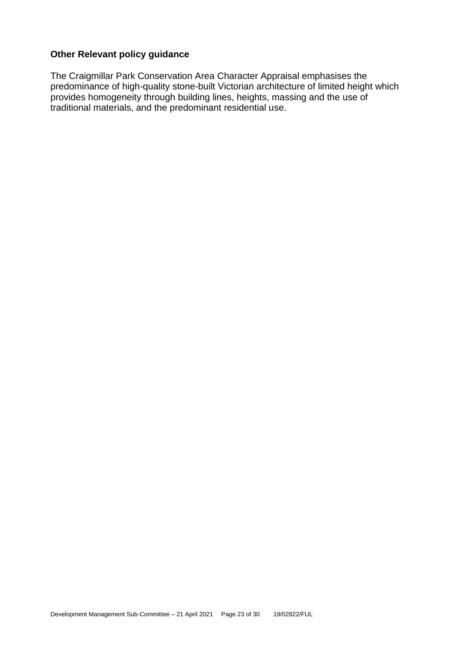# **Other Relevant policy guidance**

The Craigmillar Park Conservation Area Character Appraisal emphasises the predominance of high-quality stone-built Victorian architecture of limited height which provides homogeneity through building lines, heights, massing and the use of traditional materials, and the predominant residential use.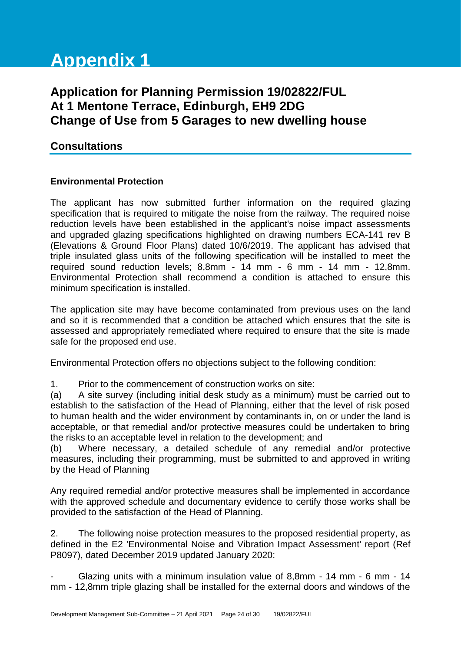# **Appendix 1**

# **Application for Planning Permission 19/02822/FUL At 1 Mentone Terrace, Edinburgh, EH9 2DG Change of Use from 5 Garages to new dwelling house**

# **Consultations**

# **Environmental Protection**

The applicant has now submitted further information on the required glazing specification that is required to mitigate the noise from the railway. The required noise reduction levels have been established in the applicant's noise impact assessments and upgraded glazing specifications highlighted on drawing numbers ECA-141 rev B (Elevations & Ground Floor Plans) dated 10/6/2019. The applicant has advised that triple insulated glass units of the following specification will be installed to meet the required sound reduction levels; 8,8mm - 14 mm - 6 mm - 14 mm - 12,8mm. Environmental Protection shall recommend a condition is attached to ensure this minimum specification is installed.

The application site may have become contaminated from previous uses on the land and so it is recommended that a condition be attached which ensures that the site is assessed and appropriately remediated where required to ensure that the site is made safe for the proposed end use.

Environmental Protection offers no objections subject to the following condition:

1. Prior to the commencement of construction works on site:

(a) A site survey (including initial desk study as a minimum) must be carried out to establish to the satisfaction of the Head of Planning, either that the level of risk posed to human health and the wider environment by contaminants in, on or under the land is acceptable, or that remedial and/or protective measures could be undertaken to bring the risks to an acceptable level in relation to the development; and

(b) Where necessary, a detailed schedule of any remedial and/or protective measures, including their programming, must be submitted to and approved in writing by the Head of Planning

Any required remedial and/or protective measures shall be implemented in accordance with the approved schedule and documentary evidence to certify those works shall be provided to the satisfaction of the Head of Planning.

2. The following noise protection measures to the proposed residential property, as defined in the E2 'Environmental Noise and Vibration Impact Assessment' report (Ref P8097), dated December 2019 updated January 2020:

- Glazing units with a minimum insulation value of 8,8mm - 14 mm - 6 mm - 14 mm - 12,8mm triple glazing shall be installed for the external doors and windows of the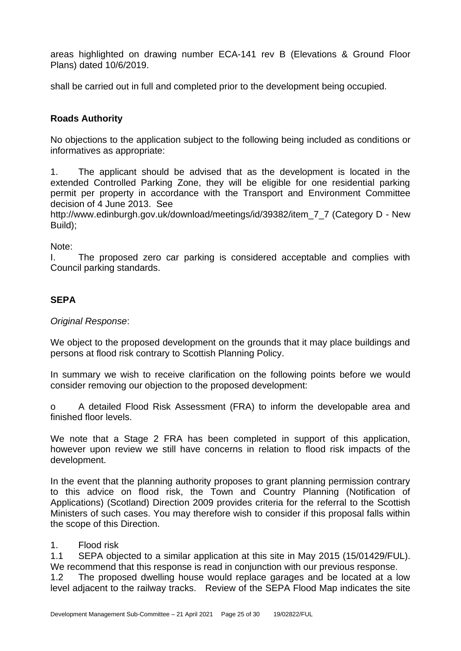areas highlighted on drawing number ECA-141 rev B (Elevations & Ground Floor Plans) dated 10/6/2019.

shall be carried out in full and completed prior to the development being occupied.

# **Roads Authority**

No objections to the application subject to the following being included as conditions or informatives as appropriate:

1. The applicant should be advised that as the development is located in the extended Controlled Parking Zone, they will be eligible for one residential parking permit per property in accordance with the Transport and Environment Committee decision of 4 June 2013. See

http://www.edinburgh.gov.uk/download/meetings/id/39382/item\_7\_7 (Category D - New Build);

Note:

I. The proposed zero car parking is considered acceptable and complies with Council parking standards.

# **SEPA**

#### *Original Response*:

We object to the proposed development on the grounds that it may place buildings and persons at flood risk contrary to Scottish Planning Policy.

In summary we wish to receive clarification on the following points before we would consider removing our objection to the proposed development:

o A detailed Flood Risk Assessment (FRA) to inform the developable area and finished floor levels.

We note that a Stage 2 FRA has been completed in support of this application, however upon review we still have concerns in relation to flood risk impacts of the development.

In the event that the planning authority proposes to grant planning permission contrary to this advice on flood risk, the Town and Country Planning (Notification of Applications) (Scotland) Direction 2009 provides criteria for the referral to the Scottish Ministers of such cases. You may therefore wish to consider if this proposal falls within the scope of this Direction.

# 1. Flood risk

1.1 SEPA objected to a similar application at this site in May 2015 (15/01429/FUL). We recommend that this response is read in conjunction with our previous response.

1.2 The proposed dwelling house would replace garages and be located at a low level adjacent to the railway tracks. Review of the SEPA Flood Map indicates the site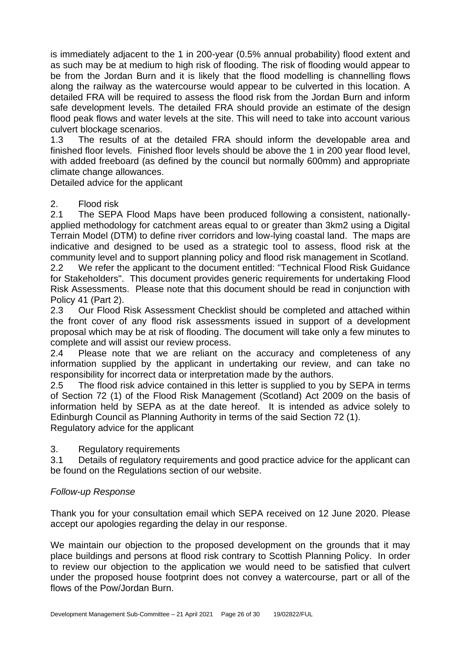is immediately adjacent to the 1 in 200-year (0.5% annual probability) flood extent and as such may be at medium to high risk of flooding. The risk of flooding would appear to be from the Jordan Burn and it is likely that the flood modelling is channelling flows along the railway as the watercourse would appear to be culverted in this location. A detailed FRA will be required to assess the flood risk from the Jordan Burn and inform safe development levels. The detailed FRA should provide an estimate of the design flood peak flows and water levels at the site. This will need to take into account various culvert blockage scenarios.

1.3 The results of at the detailed FRA should inform the developable area and finished floor levels. Finished floor levels should be above the 1 in 200 year flood level, with added freeboard (as defined by the council but normally 600mm) and appropriate climate change allowances.

Detailed advice for the applicant

# 2. Flood risk

2.1 The SEPA Flood Maps have been produced following a consistent, nationallyapplied methodology for catchment areas equal to or greater than 3km2 using a Digital Terrain Model (DTM) to define river corridors and low-lying coastal land. The maps are indicative and designed to be used as a strategic tool to assess, flood risk at the community level and to support planning policy and flood risk management in Scotland. 2.2 We refer the applicant to the document entitled: "Technical Flood Risk Guidance for Stakeholders". This document provides generic requirements for undertaking Flood Risk Assessments. Please note that this document should be read in conjunction with Policy 41 (Part 2).

2.3 Our Flood Risk Assessment Checklist should be completed and attached within the front cover of any flood risk assessments issued in support of a development proposal which may be at risk of flooding. The document will take only a few minutes to complete and will assist our review process.

2.4 Please note that we are reliant on the accuracy and completeness of any information supplied by the applicant in undertaking our review, and can take no responsibility for incorrect data or interpretation made by the authors.

2.5 The flood risk advice contained in this letter is supplied to you by SEPA in terms of Section 72 (1) of the Flood Risk Management (Scotland) Act 2009 on the basis of information held by SEPA as at the date hereof. It is intended as advice solely to Edinburgh Council as Planning Authority in terms of the said Section 72 (1). Regulatory advice for the applicant

# 3. Regulatory requirements

3.1 Details of regulatory requirements and good practice advice for the applicant can be found on the Regulations section of our website.

# *Follow-up Response*

Thank you for your consultation email which SEPA received on 12 June 2020. Please accept our apologies regarding the delay in our response.

We maintain our objection to the proposed development on the grounds that it may place buildings and persons at flood risk contrary to Scottish Planning Policy. In order to review our objection to the application we would need to be satisfied that culvert under the proposed house footprint does not convey a watercourse, part or all of the flows of the Pow/Jordan Burn.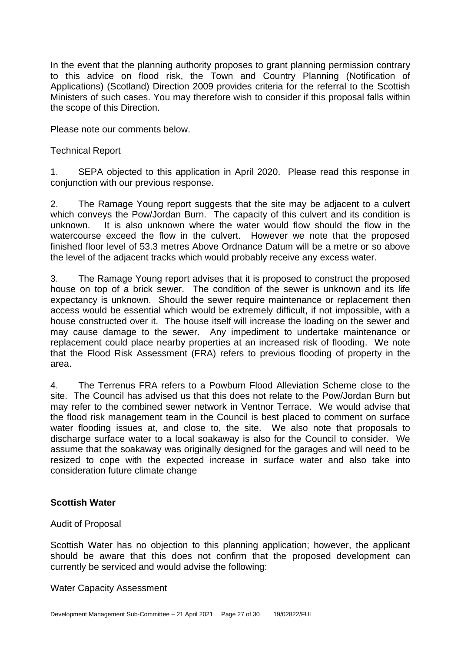In the event that the planning authority proposes to grant planning permission contrary to this advice on flood risk, the Town and Country Planning (Notification of Applications) (Scotland) Direction 2009 provides criteria for the referral to the Scottish Ministers of such cases. You may therefore wish to consider if this proposal falls within the scope of this Direction.

Please note our comments below.

# Technical Report

1. SEPA objected to this application in April 2020. Please read this response in conjunction with our previous response.

2. The Ramage Young report suggests that the site may be adjacent to a culvert which conveys the Pow/Jordan Burn. The capacity of this culvert and its condition is unknown. It is also unknown where the water would flow should the flow in the watercourse exceed the flow in the culvert. However we note that the proposed finished floor level of 53.3 metres Above Ordnance Datum will be a metre or so above the level of the adjacent tracks which would probably receive any excess water.

3. The Ramage Young report advises that it is proposed to construct the proposed house on top of a brick sewer. The condition of the sewer is unknown and its life expectancy is unknown. Should the sewer require maintenance or replacement then access would be essential which would be extremely difficult, if not impossible, with a house constructed over it. The house itself will increase the loading on the sewer and may cause damage to the sewer. Any impediment to undertake maintenance or replacement could place nearby properties at an increased risk of flooding. We note that the Flood Risk Assessment (FRA) refers to previous flooding of property in the area.

4. The Terrenus FRA refers to a Powburn Flood Alleviation Scheme close to the site. The Council has advised us that this does not relate to the Pow/Jordan Burn but may refer to the combined sewer network in Ventnor Terrace. We would advise that the flood risk management team in the Council is best placed to comment on surface water flooding issues at, and close to, the site. We also note that proposals to discharge surface water to a local soakaway is also for the Council to consider. We assume that the soakaway was originally designed for the garages and will need to be resized to cope with the expected increase in surface water and also take into consideration future climate change

# **Scottish Water**

#### Audit of Proposal

Scottish Water has no objection to this planning application; however, the applicant should be aware that this does not confirm that the proposed development can currently be serviced and would advise the following:

#### Water Capacity Assessment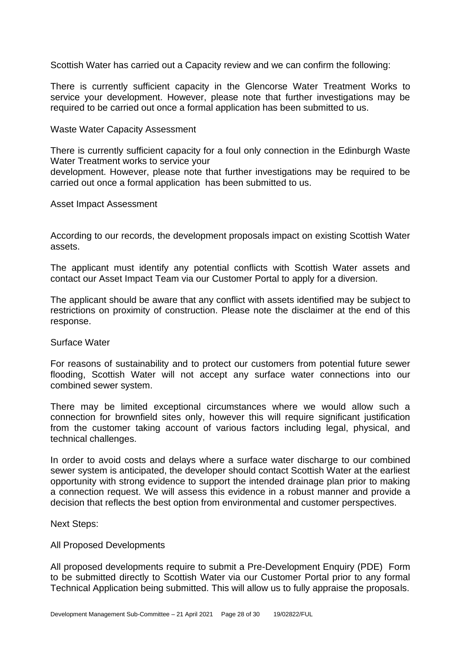Scottish Water has carried out a Capacity review and we can confirm the following:

There is currently sufficient capacity in the Glencorse Water Treatment Works to service your development. However, please note that further investigations may be required to be carried out once a formal application has been submitted to us.

#### Waste Water Capacity Assessment

There is currently sufficient capacity for a foul only connection in the Edinburgh Waste Water Treatment works to service your

development. However, please note that further investigations may be required to be carried out once a formal application has been submitted to us.

Asset Impact Assessment

According to our records, the development proposals impact on existing Scottish Water assets.

The applicant must identify any potential conflicts with Scottish Water assets and contact our Asset Impact Team via our Customer Portal to apply for a diversion.

The applicant should be aware that any conflict with assets identified may be subject to restrictions on proximity of construction. Please note the disclaimer at the end of this response.

#### Surface Water

For reasons of sustainability and to protect our customers from potential future sewer flooding, Scottish Water will not accept any surface water connections into our combined sewer system.

There may be limited exceptional circumstances where we would allow such a connection for brownfield sites only, however this will require significant justification from the customer taking account of various factors including legal, physical, and technical challenges.

In order to avoid costs and delays where a surface water discharge to our combined sewer system is anticipated, the developer should contact Scottish Water at the earliest opportunity with strong evidence to support the intended drainage plan prior to making a connection request. We will assess this evidence in a robust manner and provide a decision that reflects the best option from environmental and customer perspectives.

Next Steps:

#### All Proposed Developments

All proposed developments require to submit a Pre-Development Enquiry (PDE) Form to be submitted directly to Scottish Water via our Customer Portal prior to any formal Technical Application being submitted. This will allow us to fully appraise the proposals.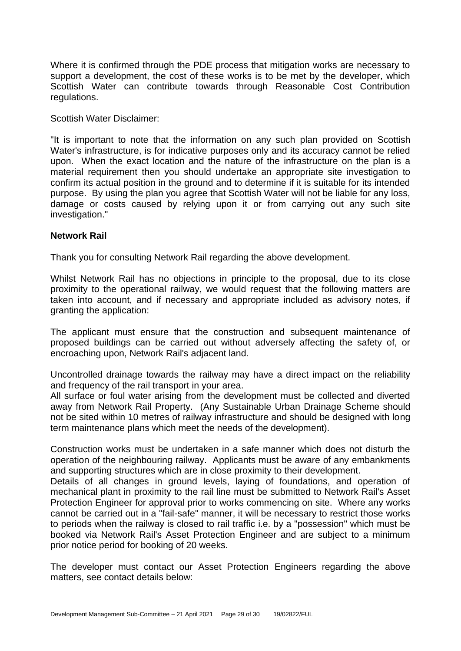Where it is confirmed through the PDE process that mitigation works are necessary to support a development, the cost of these works is to be met by the developer, which Scottish Water can contribute towards through Reasonable Cost Contribution regulations.

Scottish Water Disclaimer:

"It is important to note that the information on any such plan provided on Scottish Water's infrastructure, is for indicative purposes only and its accuracy cannot be relied upon. When the exact location and the nature of the infrastructure on the plan is a material requirement then you should undertake an appropriate site investigation to confirm its actual position in the ground and to determine if it is suitable for its intended purpose. By using the plan you agree that Scottish Water will not be liable for any loss, damage or costs caused by relying upon it or from carrying out any such site investigation."

# **Network Rail**

Thank you for consulting Network Rail regarding the above development.

Whilst Network Rail has no objections in principle to the proposal, due to its close proximity to the operational railway, we would request that the following matters are taken into account, and if necessary and appropriate included as advisory notes, if granting the application:

The applicant must ensure that the construction and subsequent maintenance of proposed buildings can be carried out without adversely affecting the safety of, or encroaching upon, Network Rail's adjacent land.

Uncontrolled drainage towards the railway may have a direct impact on the reliability and frequency of the rail transport in your area.

All surface or foul water arising from the development must be collected and diverted away from Network Rail Property. (Any Sustainable Urban Drainage Scheme should not be sited within 10 metres of railway infrastructure and should be designed with long term maintenance plans which meet the needs of the development).

Construction works must be undertaken in a safe manner which does not disturb the operation of the neighbouring railway. Applicants must be aware of any embankments and supporting structures which are in close proximity to their development.

Details of all changes in ground levels, laying of foundations, and operation of mechanical plant in proximity to the rail line must be submitted to Network Rail's Asset Protection Engineer for approval prior to works commencing on site. Where any works cannot be carried out in a "fail-safe" manner, it will be necessary to restrict those works to periods when the railway is closed to rail traffic i.e. by a "possession" which must be booked via Network Rail's Asset Protection Engineer and are subject to a minimum prior notice period for booking of 20 weeks.

The developer must contact our Asset Protection Engineers regarding the above matters, see contact details below: